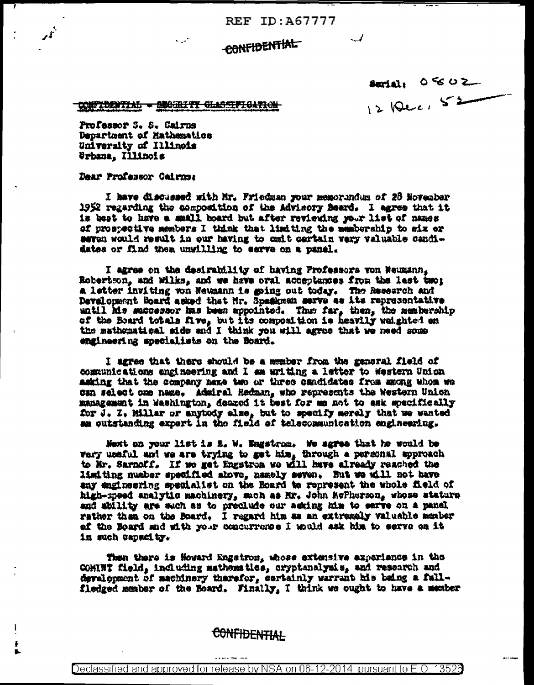**REF ID: A67777** 

## **CONFIDENTIAL**

 $s$  and  $s$   $\circ$   $\sim$ 12 Dec, 52

**CONFIDENTIAL - SECURITY GLASSIFICATION** 

Professor S. S. Cairns Department of Mathematics University of Illinois Urbana, Illinois

Dear Professor Cairns:

ł

÷

I have discussed with Mr. Friedman your memorandum of 28 November 1952 regarding the composition of the Advisory Beard. I agree that it is best to have a small board but after reviewing your list of names of prospective members I think that limiting the membership to six er seven would result in our having to can't certain very valuable candidates or find them unwilling to serve on a panel.

I agree on the desirability of having Professors von Neumann, Robertson, and Wilks, and we have oral acceptances from the last two: a letter inviting won Neumann is going out today. The Research and Development Board asked that Mr. Speakman serve as its representative until his successor has been appointed. Thus far, then, the membership of the Board totals five, but its composition is heavily weighted on the mathematical side and I think you will agree that we need some engineering specialists on the Board.

I agree that there should be a member from the gancral field of communications angineering and I am writing a letter to Western Union making that the company name two or three candidates from among whom we can select one name. Admiral Redman, who represents the Western Union management in Washington, deazed it best for me not to ask specifically for J. Z. Millar or anytody else, but to specify merely that we wanted am outstanding expert in the field of telecommunication engineering.

Next on your list is E. W. Engstrom. We agree that he would be<br>wery useful and we are trying to get him, through a personal approach to Mr. Sarnoff. If we get Engstrom we will have already reached the limiting number specified above, namely seven. But we will not have any engineering specialist on the Board to represent the whole field of high-speed analytic machinery, such as Mr. John KoPherson, whose stature and ability are such as to preclude our asking him to serve on a panel rather than on the Board. I regard him as an extremely valuable member af the Board and sith your concurrence I mould ask him to serve on it in such capacity.

Then there is Howard Engetron, whose extensive experience in the COMINT field, including mathematics, cryptanalymis, and research and development of machinery therefor, certainly warrant his being a fullfledged member of the Board. Finally, I think we ought to have a member

## **CONFIDENTIAL**